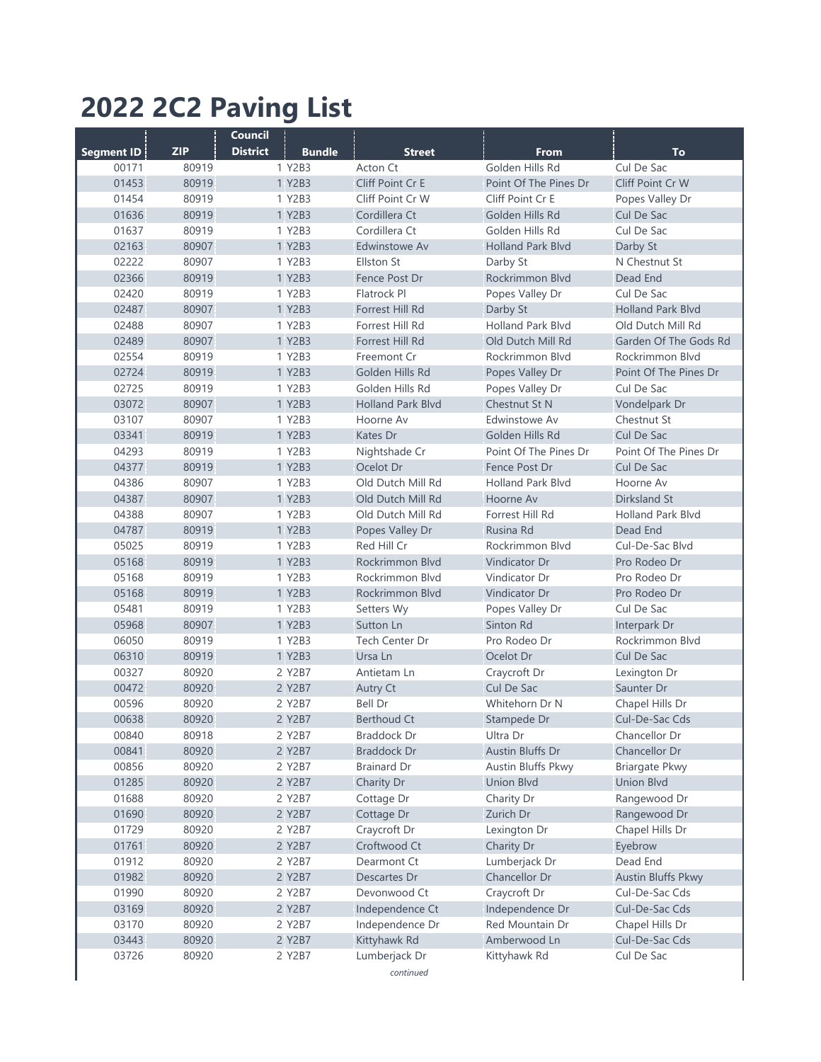## **2022 2C2 Paving List**

|            |            | <b>Council</b>                   |                            |                          |                           |
|------------|------------|----------------------------------|----------------------------|--------------------------|---------------------------|
| Segment ID | <b>ZIP</b> | <b>District</b><br><b>Bundle</b> | <b>Street</b>              | <b>From</b>              | <b>To</b>                 |
| 00171      | 80919      | 1 Y2B3                           | Acton Ct                   | Golden Hills Rd          | Cul De Sac                |
| 01453      | 80919      | 1 Y2B3                           | Cliff Point Cr E           | Point Of The Pines Dr    | <b>Cliff Point Cr W</b>   |
| 01454      | 80919      | 1 Y2B3                           | Cliff Point Cr W           | Cliff Point Cr E         | Popes Valley Dr           |
| 01636      | 80919      | 1 Y2B3                           | Cordillera Ct              | Golden Hills Rd          | <b>Cul De Sac</b>         |
| 01637      | 80919      | 1 Y2B3                           | Cordillera Ct              | Golden Hills Rd          | Cul De Sac                |
| 02163      | 80907      | 1 Y2B3                           | Edwinstowe Av              | <b>Holland Park Blvd</b> | Darby St                  |
| 02222      | 80907      | 1 Y2B3                           | <b>Ellston St</b>          | Darby St                 | N Chestnut St             |
| 02366      | 80919      | 1 Y2B3                           | Fence Post Dr              | Rockrimmon Blvd          | Dead End                  |
| 02420      | 80919      | 1 Y2B3                           | Flatrock Pl                | Popes Valley Dr          | Cul De Sac                |
| 02487      | 80907      | 1 Y2B3                           | Forrest Hill Rd            | Darby St                 | <b>Holland Park Blvd</b>  |
| 02488      | 80907      | 1 Y2B3                           | Forrest Hill Rd            | <b>Holland Park Blvd</b> | Old Dutch Mill Rd         |
| 02489      | 80907      | 1 Y2B3                           | Forrest Hill Rd            | Old Dutch Mill Rd        | Garden Of The Gods Rd     |
| 02554      | 80919      | 1 Y2B3                           | Freemont Cr                | Rockrimmon Blvd          | Rockrimmon Blvd           |
| 02724      | 80919      | 1 Y2B3                           | Golden Hills Rd            | Popes Valley Dr          | Point Of The Pines Dr     |
| 02725      | 80919      | 1 Y2B3                           | Golden Hills Rd            | Popes Valley Dr          | Cul De Sac                |
| 03072      | 80907      | 1 Y2B3                           | <b>Holland Park Blvd</b>   | Chestnut St N            | Vondelpark Dr             |
| 03107      | 80907      | 1 Y2B3                           | Hoorne Av                  | Edwinstowe Av            | Chestnut St               |
| 03341      | 80919      | 1 Y2B3                           | Kates Dr                   | Golden Hills Rd          | <b>Cul De Sac</b>         |
| 04293      | 80919      | 1 Y2B3                           |                            | Point Of The Pines Dr    | Point Of The Pines Dr     |
|            |            | 1 Y2B3                           | Nightshade Cr<br>Ocelot Dr |                          |                           |
| 04377      | 80919      |                                  |                            | Fence Post Dr            | <b>Cul De Sac</b>         |
| 04386      | 80907      | 1 Y2B3                           | Old Dutch Mill Rd          | <b>Holland Park Blvd</b> | Hoorne Av                 |
| 04387      | 80907      | 1 Y2B3                           | Old Dutch Mill Rd          | Hoorne Av                | <b>Dirksland St</b>       |
| 04388      | 80907      | 1 Y2B3                           | Old Dutch Mill Rd          | Forrest Hill Rd          | <b>Holland Park Blvd</b>  |
| 04787      | 80919      | 1 Y2B3                           | Popes Valley Dr            | Rusina Rd                | Dead End                  |
| 05025      | 80919      | 1 Y2B3                           | Red Hill Cr                | Rockrimmon Blvd          | Cul-De-Sac Blvd           |
| 05168      | 80919      | 1 Y2B3                           | Rockrimmon Blvd            | <b>Vindicator Dr</b>     | Pro Rodeo Dr              |
| 05168      | 80919      | 1 Y2B3                           | Rockrimmon Blvd            | Vindicator Dr            | Pro Rodeo Dr              |
| 05168      | 80919      | 1 Y2B3                           | Rockrimmon Blvd            | Vindicator Dr            | Pro Rodeo Dr              |
| 05481      | 80919      | 1 Y2B3                           | Setters Wy                 | Popes Valley Dr          | Cul De Sac                |
| 05968      | 80907      | 1 Y2B3                           | Sutton Ln                  | Sinton Rd                | Interpark Dr              |
| 06050      | 80919      | 1 Y2B3                           | Tech Center Dr             | Pro Rodeo Dr             | Rockrimmon Blvd           |
| 06310      | 80919      | 1 Y2B3                           | Ursa Ln                    | Ocelot Dr                | Cul De Sac                |
| 00327      | 80920      | 2 Y2B7                           | Antietam Ln                | Craycroft Dr             | Lexington Dr              |
| 00472      | 80920      | 2 Y2B7                           | Autry Ct                   | Cul De Sac               | Saunter Dr                |
| 00596      | 80920      | 2 Y2B7                           | Bell Dr                    | Whitehorn Dr N           | Chapel Hills Dr           |
| 00638      | 80920      | 2 Y2B7                           | <b>Berthoud Ct</b>         | Stampede Dr              | Cul-De-Sac Cds            |
| 00840      | 80918      | 2 Y2B7                           | <b>Braddock Dr</b>         | Ultra Dr                 | Chancellor Dr             |
| 00841      | 80920      | 2 Y2B7                           | <b>Braddock Dr</b>         | Austin Bluffs Dr         | Chancellor Dr             |
| 00856      | 80920      | 2 Y2B7                           | <b>Brainard Dr</b>         | Austin Bluffs Pkwy       | <b>Briargate Pkwy</b>     |
| 01285      | 80920      | 2 Y2B7                           | Charity Dr                 | <b>Union Blvd</b>        | <b>Union Blvd</b>         |
| 01688      | 80920      | 2 Y2B7                           | Cottage Dr                 | Charity Dr               | Rangewood Dr              |
| 01690      | 80920      | 2 Y2B7                           | Cottage Dr                 | Zurich Dr                | Rangewood Dr              |
| 01729      | 80920      | 2 Y2B7                           | Craycroft Dr               | Lexington Dr             | Chapel Hills Dr           |
| 01761      | 80920      | 2 Y2B7                           | Croftwood Ct               | Charity Dr               | Eyebrow                   |
| 01912      | 80920      | 2 Y2B7                           | Dearmont Ct                | Lumberjack Dr            | Dead End                  |
| 01982      | 80920      | 2 Y2B7                           | Descartes Dr               | Chancellor Dr            | <b>Austin Bluffs Pkwy</b> |
| 01990      | 80920      | 2 Y2B7                           | Devonwood Ct               | Craycroft Dr             | Cul-De-Sac Cds            |
| 03169      | 80920      | 2 Y2B7                           | Independence Ct            | Independence Dr          | Cul-De-Sac Cds            |
| 03170      | 80920      | 2 Y2B7                           | Independence Dr            | Red Mountain Dr          | Chapel Hills Dr           |
| 03443      | 80920      | 2 Y2B7                           | Kittyhawk Rd               | Amberwood Ln             | Cul-De-Sac Cds            |
| 03726      | 80920      | 2 Y2B7                           | Lumberjack Dr              | Kittyhawk Rd             | Cul De Sac                |
|            |            |                                  | continued                  |                          |                           |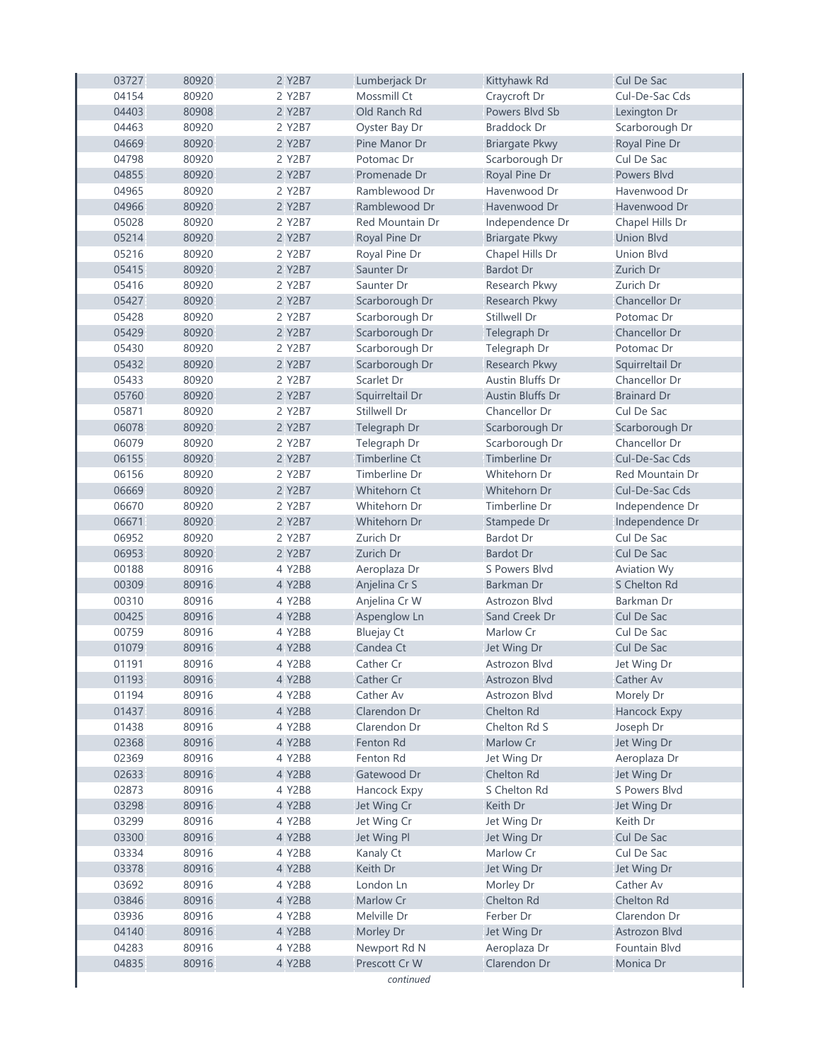| 03727 | 80920 | 2 Y2B7 | Lumberjack Dr        | Kittyhawk Rd            | <b>Cul De Sac</b>   |
|-------|-------|--------|----------------------|-------------------------|---------------------|
| 04154 | 80920 | 2 Y2B7 | Mossmill Ct          | Craycroft Dr            | Cul-De-Sac Cds      |
| 04403 | 80908 | 2 Y2B7 | Old Ranch Rd         | Powers Blvd Sb          | Lexington Dr        |
| 04463 | 80920 | 2 Y2B7 | Oyster Bay Dr        | <b>Braddock Dr</b>      | Scarborough Dr      |
| 04669 | 80920 | 2 Y2B7 | Pine Manor Dr        | <b>Briargate Pkwy</b>   | Royal Pine Dr       |
| 04798 | 80920 | 2 Y2B7 | Potomac Dr           | Scarborough Dr          | Cul De Sac          |
| 04855 | 80920 | 2 Y2B7 | Promenade Dr         | Royal Pine Dr           | Powers Blvd         |
| 04965 | 80920 | 2 Y2B7 | Ramblewood Dr        | Havenwood Dr            | Havenwood Dr        |
| 04966 | 80920 | 2 Y2B7 | Ramblewood Dr        | Havenwood Dr            | Havenwood Dr        |
| 05028 | 80920 | 2 Y2B7 | Red Mountain Dr      | Independence Dr         | Chapel Hills Dr     |
| 05214 | 80920 | 2 Y2B7 | Royal Pine Dr        | <b>Briargate Pkwy</b>   | <b>Union Blvd</b>   |
| 05216 | 80920 | 2 Y2B7 | Royal Pine Dr        | Chapel Hills Dr         | <b>Union Blvd</b>   |
| 05415 | 80920 | 2 Y2B7 | Saunter Dr           | <b>Bardot Dr</b>        | Zurich Dr           |
| 05416 | 80920 | 2 Y2B7 | Saunter Dr           | Research Pkwy           | Zurich Dr           |
| 05427 | 80920 | 2 Y2B7 | Scarborough Dr       | Research Pkwy           | Chancellor Dr       |
| 05428 | 80920 | 2 Y2B7 | Scarborough Dr       | Stillwell Dr            | Potomac Dr          |
| 05429 | 80920 | 2 Y2B7 | Scarborough Dr       | Telegraph Dr            | Chancellor Dr       |
| 05430 | 80920 | 2 Y2B7 | Scarborough Dr       | Telegraph Dr            | Potomac Dr          |
| 05432 | 80920 | 2 Y2B7 | Scarborough Dr       | Research Pkwy           | Squirreltail Dr     |
| 05433 | 80920 | 2 Y2B7 | Scarlet Dr           | Austin Bluffs Dr        | Chancellor Dr       |
| 05760 | 80920 | 2 Y2B7 | Squirreltail Dr      | <b>Austin Bluffs Dr</b> | <b>Brainard Dr</b>  |
| 05871 | 80920 | 2 Y2B7 | Stillwell Dr         | Chancellor Dr           | Cul De Sac          |
| 06078 | 80920 | 2 Y2B7 | Telegraph Dr         | Scarborough Dr          | Scarborough Dr      |
| 06079 | 80920 | 2 Y2B7 | Telegraph Dr         | Scarborough Dr          | Chancellor Dr       |
| 06155 | 80920 | 2 Y2B7 | <b>Timberline Ct</b> | Timberline Dr           | Cul-De-Sac Cds      |
| 06156 | 80920 | 2 Y2B7 | Timberline Dr        | Whitehorn Dr            | Red Mountain Dr     |
| 06669 | 80920 | 2 Y2B7 | Whitehorn Ct         | Whitehorn Dr            | Cul-De-Sac Cds      |
| 06670 | 80920 | 2 Y2B7 | Whitehorn Dr         | Timberline Dr           | Independence Dr     |
| 06671 | 80920 | 2 Y2B7 | Whitehorn Dr         | Stampede Dr             | Independence Dr     |
| 06952 | 80920 | 2 Y2B7 | Zurich Dr            | Bardot Dr               | Cul De Sac          |
| 06953 | 80920 | 2 Y2B7 | Zurich Dr            | <b>Bardot Dr</b>        | Cul De Sac          |
| 00188 | 80916 | 4 Y2B8 | Aeroplaza Dr         | S Powers Blvd           | Aviation Wy         |
| 00309 | 80916 | 4 Y2B8 | Anjelina Cr S        | Barkman Dr              | S Chelton Rd        |
| 00310 | 80916 | 4 Y2B8 | Anjelina Cr W        | Astrozon Blvd           | Barkman Dr          |
| 00425 | 80916 | 4 Y2B8 | Aspenglow Ln         | Sand Creek Dr           | Cul De Sac          |
| 00759 | 80916 | 4 Y2B8 | <b>Bluejay Ct</b>    | Marlow Cr               | Cul De Sac          |
| 01079 | 80916 | 4 Y2B8 | Candea Ct            | Jet Wing Dr             | Cul De Sac          |
| 01191 | 80916 | 4 Y2B8 | Cather Cr            | Astrozon Blvd           | Jet Wing Dr         |
| 01193 | 80916 | 4 Y2B8 | Cather Cr            | Astrozon Blvd           | Cather Av           |
| 01194 | 80916 | 4 Y2B8 | Cather Av            | Astrozon Blvd           | Morely Dr           |
| 01437 | 80916 | 4 Y2B8 | Clarendon Dr         | Chelton Rd              | <b>Hancock Expy</b> |
| 01438 | 80916 | 4 Y2B8 | Clarendon Dr         | Chelton Rd S            | Joseph Dr           |
| 02368 | 80916 | 4 Y2B8 | Fenton Rd            | Marlow Cr               | Jet Wing Dr         |
| 02369 | 80916 | 4 Y2B8 | Fenton Rd            | Jet Wing Dr             | Aeroplaza Dr        |
| 02633 | 80916 | 4 Y2B8 | Gatewood Dr          | Chelton Rd              | Jet Wing Dr         |
| 02873 | 80916 | 4 Y2B8 | Hancock Expy         | S Chelton Rd            | S Powers Blvd       |
| 03298 | 80916 | 4 Y2B8 | Jet Wing Cr          | Keith Dr                | Jet Wing Dr         |
| 03299 | 80916 | 4 Y2B8 | Jet Wing Cr          | Jet Wing Dr             | Keith Dr            |
| 03300 | 80916 | 4 Y2B8 | Jet Wing Pl          | Jet Wing Dr             | Cul De Sac          |
| 03334 | 80916 | 4 Y2B8 | Kanaly Ct            | Marlow Cr               | Cul De Sac          |
| 03378 | 80916 | 4 Y2B8 | Keith Dr             | Jet Wing Dr             | Jet Wing Dr         |
| 03692 | 80916 | 4 Y2B8 | London Ln            | Morley Dr               | Cather Av           |
| 03846 | 80916 | 4 Y2B8 | <b>Marlow Cr</b>     | Chelton Rd              | Chelton Rd          |
| 03936 | 80916 | 4 Y2B8 | Melville Dr          | Ferber Dr               | Clarendon Dr        |
| 04140 | 80916 | 4 Y2B8 | Morley Dr            | Jet Wing Dr             | Astrozon Blvd       |
| 04283 | 80916 | 4 Y2B8 | Newport Rd N         | Aeroplaza Dr            | Fountain Blvd       |
| 04835 | 80916 | 4 Y2B8 | Prescott Cr W        | Clarendon Dr            | Monica Dr           |
|       |       |        | continued            |                         |                     |
|       |       |        |                      |                         |                     |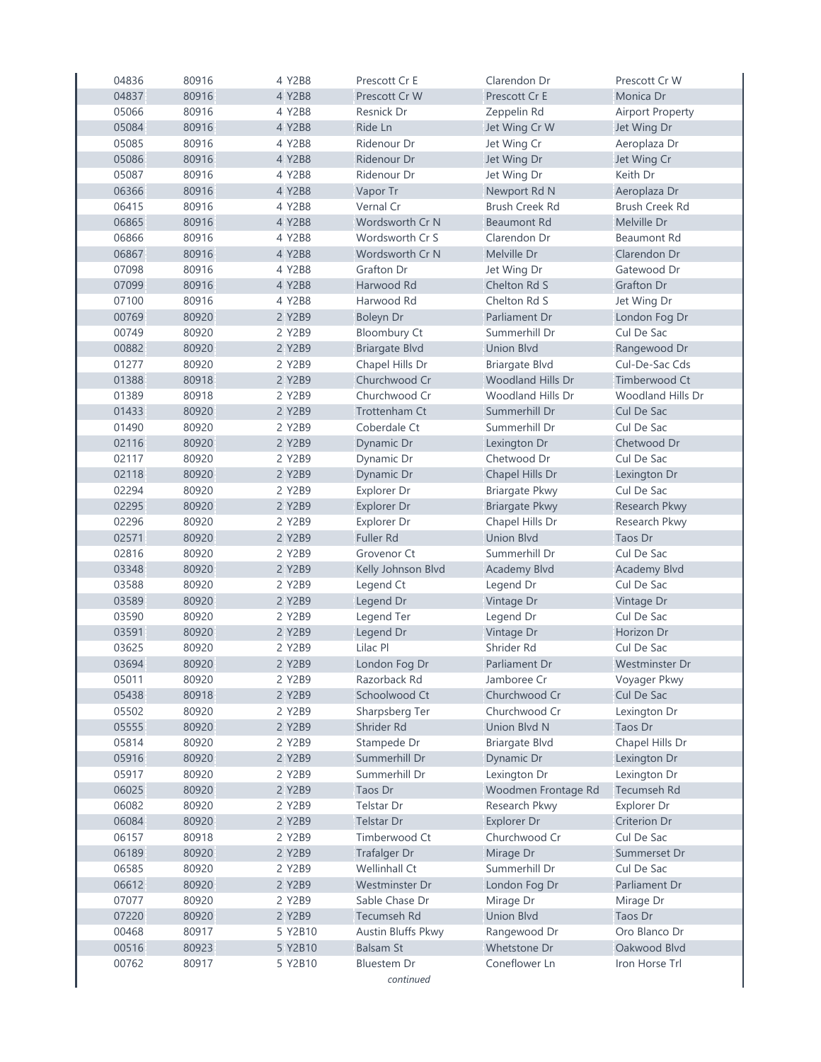| 04836 | 80916 | 4 Y2B8  | Prescott Cr E         | Clarendon Dr             | Prescott Cr W           |
|-------|-------|---------|-----------------------|--------------------------|-------------------------|
| 04837 | 80916 | 4 Y2B8  | Prescott Cr W         | Prescott Cr E            | Monica Dr               |
| 05066 | 80916 | 4 Y2B8  | Resnick Dr            | Zeppelin Rd              | <b>Airport Property</b> |
| 05084 | 80916 | 4 Y2B8  | Ride Ln               | Jet Wing Cr W            | Jet Wing Dr             |
| 05085 | 80916 | 4 Y2B8  | Ridenour Dr           | Jet Wing Cr              | Aeroplaza Dr            |
| 05086 | 80916 | 4 Y2B8  | Ridenour Dr           | Jet Wing Dr              | Jet Wing Cr             |
| 05087 | 80916 | 4 Y2B8  | Ridenour Dr           | Jet Wing Dr              | Keith Dr                |
| 06366 | 80916 | 4 Y2B8  | Vapor Tr              | Newport Rd N             | Aeroplaza Dr            |
| 06415 | 80916 | 4 Y2B8  | Vernal Cr             | <b>Brush Creek Rd</b>    | <b>Brush Creek Rd</b>   |
| 06865 | 80916 | 4 Y2B8  | Wordsworth Cr N       | <b>Beaumont Rd</b>       | Melville Dr             |
| 06866 | 80916 | 4 Y2B8  | Wordsworth Cr S       | Clarendon Dr             | <b>Beaumont Rd</b>      |
| 06867 | 80916 | 4 Y2B8  | Wordsworth Cr N       | Melville Dr              | Clarendon Dr            |
| 07098 | 80916 | 4 Y2B8  | Grafton Dr            | Jet Wing Dr              | Gatewood Dr             |
| 07099 | 80916 | 4 Y2B8  | Harwood Rd            | Chelton Rd S             | <b>Grafton Dr</b>       |
| 07100 | 80916 | 4 Y2B8  | Harwood Rd            | Chelton Rd S             | Jet Wing Dr             |
| 00769 | 80920 | 2 Y2B9  | <b>Boleyn Dr</b>      | Parliament Dr            | London Fog Dr           |
| 00749 | 80920 | 2 Y2B9  | <b>Bloombury Ct</b>   | Summerhill Dr            | Cul De Sac              |
| 00882 | 80920 | 2 Y2B9  | <b>Briargate Blvd</b> | <b>Union Blvd</b>        | Rangewood Dr            |
| 01277 | 80920 | 2 Y2B9  | Chapel Hills Dr       | <b>Briargate Blvd</b>    | Cul-De-Sac Cds          |
| 01388 | 80918 | 2 Y2B9  | Churchwood Cr         | <b>Woodland Hills Dr</b> | Timberwood Ct           |
| 01389 | 80918 | 2 Y2B9  | Churchwood Cr         | Woodland Hills Dr        | Woodland Hills Dr       |
| 01433 | 80920 | 2 Y2B9  | <b>Trottenham Ct</b>  | Summerhill Dr            | Cul De Sac              |
| 01490 | 80920 | 2 Y2B9  | Coberdale Ct          | Summerhill Dr            | Cul De Sac              |
| 02116 | 80920 | 2 Y2B9  | Dynamic Dr            | Lexington Dr             | Chetwood Dr             |
| 02117 | 80920 | 2 Y2B9  | Dynamic Dr            | Chetwood Dr              | Cul De Sac              |
| 02118 | 80920 | 2 Y2B9  | Dynamic Dr            | Chapel Hills Dr          | Lexington Dr            |
| 02294 | 80920 | 2 Y2B9  | Explorer Dr           | <b>Briargate Pkwy</b>    | Cul De Sac              |
| 02295 | 80920 | 2 Y2B9  | Explorer Dr           | <b>Briargate Pkwy</b>    | Research Pkwy           |
| 02296 | 80920 | 2 Y2B9  | Explorer Dr           | Chapel Hills Dr          | Research Pkwy           |
| 02571 | 80920 | 2 Y2B9  | <b>Fuller Rd</b>      | <b>Union Blvd</b>        | Taos Dr                 |
| 02816 | 80920 | 2 Y2B9  | Grovenor Ct           | Summerhill Dr            | Cul De Sac              |
| 03348 | 80920 | 2 Y2B9  | Kelly Johnson Blvd    | <b>Academy Blvd</b>      | <b>Academy Blvd</b>     |
| 03588 | 80920 | 2 Y2B9  | Legend Ct             | Legend Dr                | Cul De Sac              |
| 03589 | 80920 | 2 Y2B9  | Legend Dr             | Vintage Dr               | Vintage Dr              |
| 03590 | 80920 | 2 Y2B9  | Legend Ter            | Legend Dr                | Cul De Sac              |
| 03591 | 80920 | 2 Y2B9  | Legend Dr             | Vintage Dr               | Horizon Dr              |
| 03625 | 80920 | 2 Y2B9  | Lilac Pl              | Shrider Rd               | Cul De Sac              |
| 03694 | 80920 | 2 Y2B9  | London Fog Dr         | Parliament Dr            | Westminster Dr          |
| 05011 | 80920 | 2 Y2B9  | Razorback Rd          | Jamboree Cr              | Voyager Pkwy            |
| 05438 | 80918 | 2 Y2B9  | Schoolwood Ct         | Churchwood Cr            | Cul De Sac              |
| 05502 | 80920 | 2 Y2B9  | Sharpsberg Ter        | Churchwood Cr            | Lexington Dr            |
| 05555 | 80920 | 2 Y2B9  | Shrider Rd            | <b>Union Blvd N</b>      | Taos Dr                 |
| 05814 | 80920 | 2 Y2B9  | Stampede Dr           | <b>Briargate Blvd</b>    | Chapel Hills Dr         |
| 05916 | 80920 | 2 Y2B9  | Summerhill Dr         | Dynamic Dr               | Lexington Dr            |
| 05917 | 80920 | 2 Y2B9  | Summerhill Dr         | Lexington Dr             | Lexington Dr            |
| 06025 | 80920 | 2 Y2B9  | Taos Dr               | Woodmen Frontage Rd      | Tecumseh Rd             |
| 06082 | 80920 | 2 Y2B9  | Telstar Dr            | Research Pkwy            | Explorer Dr             |
| 06084 | 80920 | 2 Y2B9  | <b>Telstar Dr</b>     | Explorer Dr              | Criterion Dr            |
| 06157 | 80918 | 2 Y2B9  | Timberwood Ct         | Churchwood Cr            | Cul De Sac              |
| 06189 | 80920 | 2 Y2B9  | <b>Trafalger Dr</b>   | Mirage Dr                | Summerset Dr            |
| 06585 | 80920 | 2 Y2B9  | Wellinhall Ct         | Summerhill Dr            | Cul De Sac              |
| 06612 | 80920 | 2 Y2B9  | Westminster Dr        | London Fog Dr            | Parliament Dr           |
| 07077 | 80920 | 2 Y2B9  | Sable Chase Dr        | Mirage Dr                | Mirage Dr               |
| 07220 | 80920 | 2 Y2B9  | <b>Tecumseh Rd</b>    | <b>Union Blvd</b>        | Taos Dr                 |
| 00468 | 80917 | 5 Y2B10 | Austin Bluffs Pkwy    | Rangewood Dr             | Oro Blanco Dr           |
| 00516 | 80923 | 5 Y2B10 | <b>Balsam St</b>      | Whetstone Dr             | Oakwood Blvd            |
| 00762 | 80917 | 5 Y2B10 | Bluestem Dr           | Coneflower Ln            | Iron Horse Trl          |
|       |       |         | continued             |                          |                         |